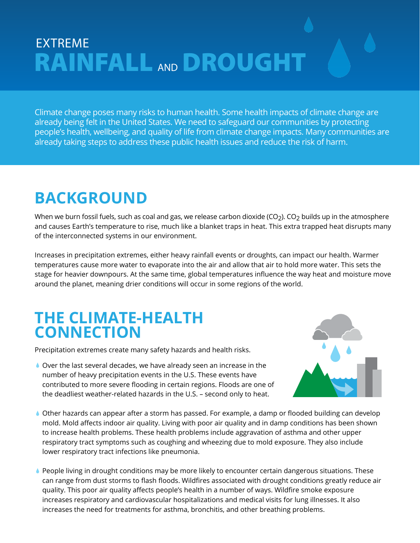# EXTREME **RAINFALL** AND **DROUGHT**

Climate change poses many risks to human health. Some health impacts of climate change are already being felt in the United States. We need to safeguard our communities by protecting people's health, wellbeing, and quality of life from climate change impacts. Many communities are already taking steps to address these public health issues and reduce the risk of harm.

# **BACKGROUND**

When we burn fossil fuels, such as coal and gas, we release carbon dioxide (CO<sub>2</sub>). CO<sub>2</sub> builds up in the atmosphere and causes Earth's temperature to rise, much like a blanket traps in heat. This extra trapped heat disrupts many of the interconnected systems in our environment.

Increases in precipitation extremes, either heavy rainfall events or droughts, can impact our health. Warmer temperatures cause more water to evaporate into the air and allow that air to hold more water. This sets the stage for heavier downpours. At the same time, global temperatures influence the way heat and moisture move around the planet, meaning drier conditions will occur in some regions of the world.

#### **THE CLIMATE-HEALTH CONNECTION**

Precipitation extremes create many safety hazards and health risks.

Over the last several decades, we have already seen an increase in the number of heavy precipitation events in the U.S. These events have contributed to more severe flooding in certain regions. Floods are one of the deadliest weather-related hazards in the U.S. – second only to heat.



- Other hazards can appear after a storm has passed. For example, a damp or flooded building can develop mold. Mold affects indoor air quality. Living with poor air quality and in damp conditions has been shown to increase health problems. These health problems include aggravation of asthma and other upper respiratory tract symptoms such as coughing and wheezing due to mold exposure. They also include lower respiratory tract infections like pneumonia.
- People living in drought conditions may be more likely to encounter certain dangerous situations. These can range from dust storms to flash floods. Wildfires associated with drought conditions greatly reduce air quality. This poor air quality affects people's health in a number of ways. Wildfire smoke exposure increases respiratory and cardiovascular hospitalizations and medical visits for lung illnesses. It also increases the need for treatments for asthma, bronchitis, and other breathing problems.